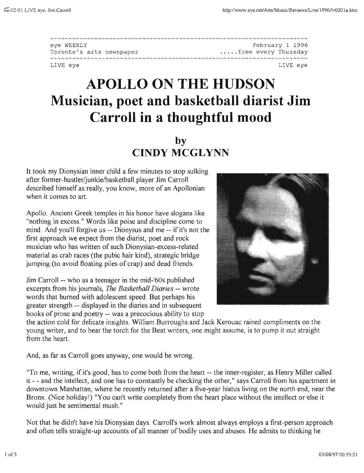| eve WEEKLY               | February 1 1996     |
|--------------------------|---------------------|
| Toronto's arts newspaper | free every Thursday |
|                          |                     |
| LIVE eye                 | LIVE eve            |

## **APOLLO ON THE HUDSON Musician, poet and basketball diarist Jim Carroll in a thoughtful mood**

## **by CINDY MCGLYNN**

It took my Dionysian inner child a few minutes to stop sulking after former-hustler/junkie/basketball player Jim Carroll described himself as really, you know, more of an Apollonian when it comes to art.

Apollo. Ancient Greek temples in his honor have slogans like "nothing in excess." Words like poise and discipline come to mind, And you'll forgive us -- Dionysus and me -- if it's not the first approach we expect from the diarist, poet arid rock musician who has written of such Dionysian-excess-re1ated material as crab races (the pubic hair kind), strategic bridge jumping (to avoid floating piles of crap) and dead friends.

Jim Carroll -- who as a teenager in the mid-'60s published excerpts from his journals, *The Basketball Diaries* -- wrote words that burned with adolescent speed. But perhaps his greater strength -- displayed in the diaries and in subsequent books of prose and poetry -- was a precocious ability to stop



the action cold for delicate insights. William Burroughs and Jack Kerouac rained compliments on the young writer, and to bear the torch for the Beat writers, one might assume, is to pump it out straight from the heart.

And, as far as Carroll goes anyway, one would be wrong.

"To me, writing, if it's good, has to come both from the heart -- the inner-register, as Henry Miller called it - - and the intellect, and one has to constantly be checking the other," says Carroll from his apartment in downtown Manhattan, where he recently returned after a five-year hiatus living on the north end, near the Bronx. (Nice holiday!) "You can't write completely from the heart place without the intellect or else it would just be sentimental mush."

Not that he didn't have his Dionysian days. Carroll's work almost always employs a first-person approach and often tells straight-up accounts of all manner of bodily uses and abuses. He admits to thinking he